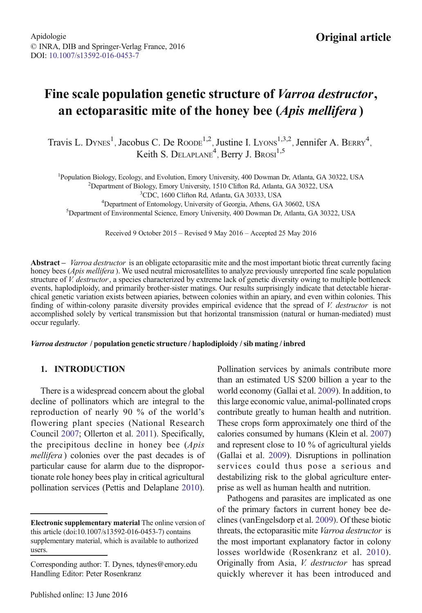# Fine scale population genetic structure of *Varroa destructor*, an ectoparasitic mite of the honey bee (Apis mellifera)

Travis L. DYNES<sup>1</sup>, Jacobus C. De ROODE<sup>1,2</sup>, Justine I. LYONS<sup>1,3,2</sup>, Jennifer A. BERRY<sup>4</sup>, Keith S. DELAPLANE<sup>4</sup>, Berry J. BROSI<sup>1,5</sup>

<sup>1</sup>Population Biology, Ecology, and Evolution, Emory University, 400 Dowman Dr, Atlanta, GA 30322, USA <sup>2</sup>Department of Biology, Emory University, 1510 Clifton Rd, Atlanta, GA 30322, USA  ${}^{2}$ Department of Biology, Emory University, 1510 Clifton Rd, Atlanta, GA 30322, USA  ${}^{3}$ CDC, 1600 Clifton Rd, Atlanta, GA 30333, USA <sup>4</sup>Department of Entomology, University of Georgia, Athens, GA 30602, USA <sup>5</sup> Department of Entomology, University of Georgia, Athens, GA 30602, USA<br><sup>5</sup> Department of Environmental Science, Emory University, 400 Dowman Dr, Atlanta, GA 30322, USA

Received 9 October 2015 – Revised 9 May 2016 – Accepted 25 May 2016

Abstract – Varroa destructor is an obligate ectoparasitic mite and the most important biotic threat currently facing honey bees (*Apis mellifera*). We used neutral microsatellites to analyze previously unreported fine scale population structure of V. destructor, a species characterized by extreme lack of genetic diversity owing to multiple bottleneck events, haplodiploidy, and primarily brother-sister matings. Our results surprisingly indicate that detectable hierarchical genetic variation exists between apiaries, between colonies within an apiary, and even within colonies. This finding of within-colony parasite diversity provides empirical evidence that the spread of V. destructor is not accomplished solely by vertical transmission but that horizontal transmission (natural or human-mediated) must occur regularly.

#### Varroa destructor / population genetic structure / haplodiploidy / sib mating / inbred

# 1. INTRODUCTION

There is a widespread concern about the global decline of pollinators which are integral to the reproduction of nearly 90 % of the world's flowering plant species (National Research Council [2007;](#page-8-0) Ollerton et al. [2011](#page-8-0)). Specifically, the precipitous decline in honey bee (*Apis* mellifera) colonies over the past decades is of particular cause for alarm due to the disproportionate role honey bees play in critical agricultural pollination services (Pettis and Delaplane [2010](#page-8-0)).

Pollination services by animals contribute more than an estimated US \$200 billion a year to the world economy (Gallai et al. [2009](#page-8-0)). In addition, to this large economic value, animal-pollinated crops contribute greatly to human health and nutrition. These crops form approximately one third of the calories consumed by humans (Klein et al. [2007](#page-8-0)) and represent close to 10 % of agricultural yields (Gallai et al. [2009\)](#page-8-0). Disruptions in pollination services could thus pose a serious and destabilizing risk to the global agriculture enterprise as well as human health and nutrition.

Pathogens and parasites are implicated as one of the primary factors in current honey bee declines (vanEngelsdorp et al. [2009](#page-8-0)). Of these biotic threats, the ectoparasitic mite Varroa destructor is the most important explanatory factor in colony losses worldwide (Rosenkranz et al. [2010\)](#page-8-0). Originally from Asia, V. destructor has spread quickly wherever it has been introduced and

Electronic supplementary material The online version of this article (doi:[10.1007/s13592-016-0453-7](http://dx.doi.org/10.1007/s13592-016-0453-7)) contains supplementary material, which is available to authorized users.

Corresponding author: T. Dynes, tdynes@emory.edu Handling Editor: Peter Rosenkranz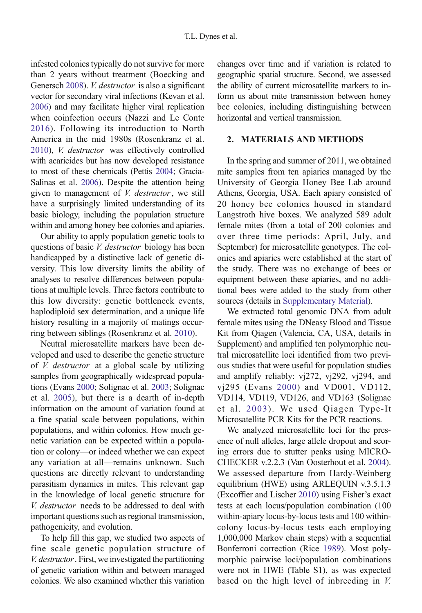infested colonies typically do not survive for more than 2 years without treatment (Boecking and Genersch [2008](#page-7-0)). *V. destructor* is also a significant vector for secondary viral infections (Kevan et al. [2006\)](#page-8-0) and may facilitate higher viral replication when coinfection occurs (Nazzi and Le Conte [2016\)](#page-8-0). Following its introduction to North America in the mid 1980s (Rosenkranz et al. [2010\)](#page-8-0), V. destructor was effectively controlled with acaricides but has now developed resistance to most of these chemicals (Pettis [2004;](#page-8-0) Gracia-Salinas et al. [2006](#page-8-0)). Despite the attention being given to management of *V. destructor*, we still have a surprisingly limited understanding of its basic biology, including the population structure within and among honey bee colonies and apiaries.

Our ability to apply population genetic tools to questions of basic *V. destructor* biology has been handicapped by a distinctive lack of genetic diversity. This low diversity limits the ability of analyses to resolve differences between populations at multiple levels. Three factors contribute to this low diversity: genetic bottleneck events, haplodiploid sex determination, and a unique life history resulting in a majority of matings occurring between siblings (Rosenkranz et al. [2010](#page-8-0)).

Neutral microsatellite markers have been developed and used to describe the genetic structure of *V. destructor* at a global scale by utilizing samples from geographically widespread populations (Evans [2000;](#page-7-0) Solignac et al. [2003](#page-8-0); Solignac et al. [2005\)](#page-8-0), but there is a dearth of in-depth information on the amount of variation found at a fine spatial scale between populations, within populations, and within colonies. How much genetic variation can be expected within a population or colony—or indeed whether we can expect any variation at all—remains unknown. Such questions are directly relevant to understanding parasitism dynamics in mites. This relevant gap in the knowledge of local genetic structure for V. destructor needs to be addressed to deal with important questions such as regional transmission, pathogenicity, and evolution.

To help fill this gap, we studied two aspects of fine scale genetic population structure of V. destructor. First, we investigated the partitioning of genetic variation within and between managed colonies. We also examined whether this variation

changes over time and if variation is related to geographic spatial structure. Second, we assessed the ability of current microsatellite markers to inform us about mite transmission between honey bee colonies, including distinguishing between horizontal and vertical transmission.

## 2. MATERIALS AND METHODS

In the spring and summer of 2011, we obtained mite samples from ten apiaries managed by the University of Georgia Honey Bee Lab around Athens, Georgia, USA. Each apiary consisted of 20 honey bee colonies housed in standard Langstroth hive boxes. We analyzed 589 adult female mites (from a total of 200 colonies and over three time periods: April, July, and September) for microsatellite genotypes. The colonies and apiaries were established at the start of the study. There was no exchange of bees or equipment between these apiaries, and no additional bees were added to the study from other sources (details in Supplementary Material).

We extracted total genomic DNA from adult female mites using the DNeasy Blood and Tissue Kit from Qiagen (Valencia, CA, USA, details in Supplement) and amplified ten polymorphic neutral microsatellite loci identified from two previous studies that were useful for population studies and amplify reliably: vj272, vj292, vj294, and vj295 (Evans [2000](#page-7-0)) and VD001, VD112, VD114, VD119, VD126, and VD163 (Solignac et al. [2003](#page-8-0)). We used Qiagen Type-It Microsatellite PCR Kits for the PCR reactions.

We analyzed microsatellite loci for the presence of null alleles, large allele dropout and scoring errors due to stutter peaks using MICRO-CHECKER v.2.2.3 (Van Oosterhout et al. [2004](#page-8-0)). We assessed departure from Hardy-Weinberg equilibrium (HWE) using ARLEQUIN v.3.5.1.3 (Excoffier and Lischer [2010\)](#page-7-0) using Fisher's exact tests at each locus/population combination (100 within-apiary locus-by-locus tests and 100 withincolony locus-by-locus tests each employing 1,000,000 Markov chain steps) with a sequential Bonferroni correction (Rice [1989](#page-8-0)). Most polymorphic pairwise loci/population combinations were not in HWE (Table S1), as was expected based on the high level of inbreeding in V.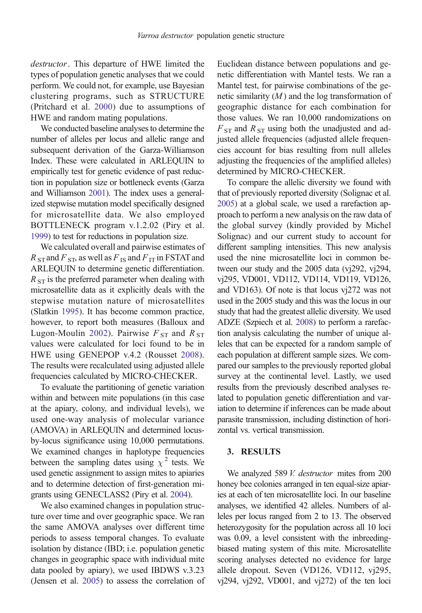destructor. This departure of HWE limited the types of population genetic analyses that we could perform. We could not, for example, use Bayesian clustering programs, such as STRUCTURE (Pritchard et al. [2000\)](#page-8-0) due to assumptions of HWE and random mating populations.

We conducted baseline analyses to determine the number of alleles per locus and allelic range and subsequent derivation of the Garza-Williamson Index. These were calculated in ARLEQUIN to empirically test for genetic evidence of past reduction in population size or bottleneck events (Garza and Williamson [2001](#page-8-0)). The index uses a generalized stepwise mutation model specifically designed for microsatellite data. We also employed BOTTLENECK program v.1.2.02 (Piry et al. [1999](#page-8-0)) to test for reductions in population size.

We calculated overall and pairwise estimates of  $R_{\rm ST}$  and  $F_{\rm ST}$ , as well as  $F_{\rm IS}$  and  $F_{\rm IT}$  in FSTAT and ARLEQUIN to determine genetic differentiation.  $R_{ST}$  is the preferred parameter when dealing with microsatellite data as it explicitly deals with the stepwise mutation nature of microsatellites (Slatkin [1995\)](#page-8-0). It has become common practice, however, to report both measures (Balloux and Lugon-Moulin [2002\)](#page-7-0). Pairwise  $F_{ST}$  and  $R_{ST}$ values were calculated for loci found to be in HWE using GENEPOP v.4.2 (Rousset [2008\)](#page-8-0). The results were recalculated using adjusted allele frequencies calculated by MICRO-CHECKER.

To evaluate the partitioning of genetic variation within and between mite populations (in this case at the apiary, colony, and individual levels), we used one-way analysis of molecular variance (AMOVA) in ARLEQUIN and determined locusby-locus significance using 10,000 permutations. We examined changes in haplotype frequencies between the sampling dates using  $\chi^2$  tests. We used genetic assignment to assign mites to apiaries and to determine detection of first-generation migrants using GENECLASS2 (Piry et al. [2004](#page-8-0)).

We also examined changes in population structure over time and over geographic space. We ran the same AMOVA analyses over different time periods to assess temporal changes. To evaluate isolation by distance (IBD; i.e. population genetic changes in geographic space with individual mite data pooled by apiary), we used IBDWS v.3.23 (Jensen et al. [2005\)](#page-8-0) to assess the correlation of Euclidean distance between populations and genetic differentiation with Mantel tests. We ran a Mantel test, for pairwise combinations of the genetic similarity  $(M)$  and the log transformation of geographic distance for each combination for those values. We ran 10,000 randomizations on  $F_{ST}$  and  $R_{ST}$  using both the unadjusted and adjusted allele frequencies (adjusted allele frequencies account for bias resulting from null alleles adjusting the frequencies of the amplified alleles) determined by MICRO-CHECKER.

To compare the allelic diversity we found with that of previously reported diversity (Solignac et al. [2005](#page-8-0)) at a global scale, we used a rarefaction approach to perform a new analysis on the raw data of the global survey (kindly provided by Michel Solignac) and our current study to account for different sampling intensities. This new analysis used the nine microsatellite loci in common between our study and the 2005 data (vj292, vj294, vj295, VD001, VD112, VD114, VD119, VD126, and VD163). Of note is that locus vj272 was not used in the 2005 study and this was the locus in our study that had the greatest allelic diversity. We used ADZE (Szpiech et al. [2008](#page-8-0)) to perform a rarefaction analysis calculating the number of unique alleles that can be expected for a random sample of each population at different sample sizes. We compared our samples to the previously reported global survey at the continental level. Lastly, we used results from the previously described analyses related to population genetic differentiation and variation to determine if inferences can be made about parasite transmission, including distinction of horizontal vs. vertical transmission.

#### 3. RESULTS

We analyzed 589 V. destructor mites from 200 honey bee colonies arranged in ten equal-size apiaries at each of ten microsatellite loci. In our baseline analyses, we identified 42 alleles. Numbers of alleles per locus ranged from 2 to 13. The observed heterozygosity for the population across all 10 loci was 0.09, a level consistent with the inbreedingbiased mating system of this mite. Microsatellite scoring analyses detected no evidence for large allele dropout. Seven (VD126, VD112, vj295, vj294, vj292, VD001, and vj272) of the ten loci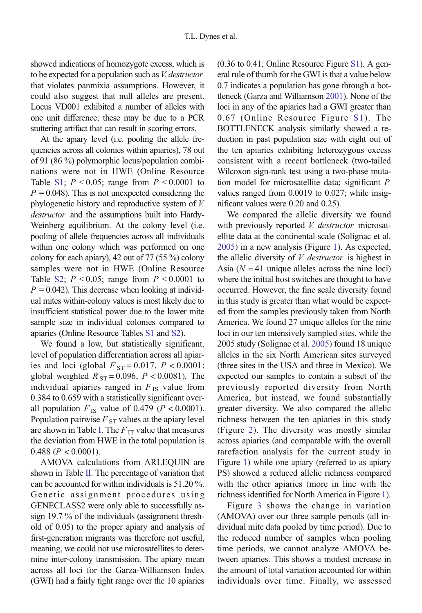showed indications of homozygote excess, which is to be expected for a population such as *V. destructor* that violates panmixia assumptions. However, it could also suggest that null alleles are present. Locus VD001 exhibited a number of alleles with one unit difference; these may be due to a PCR stuttering artifact that can result in scoring errors.

At the apiary level (i.e. pooling the allele frequencies across all colonies within apiaries), 78 out of 91 (86 %) polymorphic locus/population combinations were not in HWE (Online Resource Table S1;  $P \le 0.05$ ; range from  $P \le 0.0001$  to  $P = 0.048$ ). This is not unexpected considering the phylogenetic history and reproductive system of V. destructor and the assumptions built into Hardy-Weinberg equilibrium. At the colony level (i.e. pooling of allele frequencies across all individuals within one colony which was performed on one colony for each apiary), 42 out of 77 (55 %) colony samples were not in HWE (Online Resource Table S2;  $P < 0.05$ ; range from  $P < 0.0001$  to  $P = 0.042$ ). This decrease when looking at individual mites within-colony values is most likely due to insufficient statistical power due to the lower mite sample size in individual colonies compared to apiaries (Online Resource Tables S1 and S2).

We found a low, but statistically significant, level of population differentiation across all apiaries and loci (global  $F_{ST} = 0.017$ ,  $P < 0.0001$ ; global weighted  $R_{ST} = 0.096$ ,  $P < 0.0081$ ). The individual apiaries ranged in  $F_{IS}$  value from 0.384 to 0.659 with a statistically significant overall population  $F_{IS}$  value of 0.479 ( $P < 0.0001$ ). Population pairwise  $F_{ST}$  values at the apiary level are shown in Table [I](#page-4-0). The  $F_{IT}$  value that measures the deviation from HWE in the total population is 0.488  $(P < 0.0001)$ .

AMOVA calculations from ARLEQUIN are shown in Table [II.](#page-4-0) The percentage of variation that can be accounted for within individuals is 51.20 %. Genetic assignment procedures using GENECLASS2 were only able to successfully assign 19.7 % of the individuals (assignment threshold of 0.05) to the proper apiary and analysis of first-generation migrants was therefore not useful, meaning, we could not use microsatellites to determine inter-colony transmission. The apiary mean across all loci for the Garza-Williamson Index (GWI) had a fairly tight range over the 10 apiaries (0.36 to 0.41; Online Resource Figure S1). A general rule of thumb for the GWI is that a value below 0.7 indicates a population has gone through a bottleneck (Garza and Williamson [2001\)](#page-8-0). None of the loci in any of the apiaries had a GWI greater than 0.67 (Online Resource Figure S1). The BOTTLENECK analysis similarly showed a reduction in past population size with eight out of the ten apiaries exhibiting heterozygous excess consistent with a recent bottleneck (two-tailed Wilcoxon sign-rank test using a two-phase mutation model for microsatellite data; significant P values ranged from 0.0019 to 0.027; while insignificant values were 0.20 and 0.25).

We compared the allelic diversity we found with previously reported *V. destructor* microsatellite data at the continental scale (Solignac et al. [2005\)](#page-8-0) in a new analysis (Figure [1](#page-5-0)). As expected, the allelic diversity of V. destructor is highest in Asia  $(N = 41)$  unique alleles across the nine loci) where the initial host switches are thought to have occurred. However, the fine scale diversity found in this study is greater than what would be expected from the samples previously taken from North America. We found 27 unique alleles for the nine loci in our ten intensively sampled sites, while the 2005 study (Solignac et al. [2005](#page-8-0)) found 18 unique alleles in the six North American sites surveyed (three sites in the USA and three in Mexico). We expected our samples to contain a subset of the previously reported diversity from North America, but instead, we found substantially greater diversity. We also compared the allelic richness between the ten apiaries in this study (Figure [2\)](#page-5-0). The diversity was mostly similar across apiaries (and comparable with the overall rarefaction analysis for the current study in Figure [1](#page-5-0)) while one apiary (referred to as apiary PS) showed a reduced allelic richness compared with the other apiaries (more in line with the richness identified for North America in Figure [1](#page-5-0)).

Figure [3](#page-5-0) shows the change in variation (AMOVA) over our three sample periods (all individual mite data pooled by time period). Due to the reduced number of samples when pooling time periods, we cannot analyze AMOVA between apiaries. This shows a modest increase in the amount of total variation accounted for within individuals over time. Finally, we assessed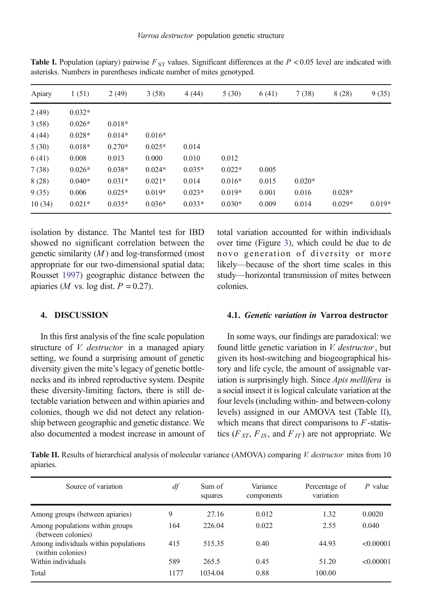| Apiary | 1(51)    | 2(49)    | 3(58)    | 4(44)    | 5(30)    | 6(41) | 7(38)    | 8(28)    | 9(35)    |
|--------|----------|----------|----------|----------|----------|-------|----------|----------|----------|
| 2(49)  | $0.032*$ |          |          |          |          |       |          |          |          |
| 3(58)  | $0.026*$ | $0.018*$ |          |          |          |       |          |          |          |
| 4(44)  | $0.028*$ | $0.014*$ | $0.016*$ |          |          |       |          |          |          |
| 5(30)  | $0.018*$ | $0.270*$ | $0.025*$ | 0.014    |          |       |          |          |          |
| 6(41)  | 0.008    | 0.013    | 0.000    | 0.010    | 0.012    |       |          |          |          |
| 7(38)  | $0.026*$ | $0.038*$ | $0.024*$ | $0.035*$ | $0.022*$ | 0.005 |          |          |          |
| 8(28)  | $0.040*$ | $0.031*$ | $0.021*$ | 0.014    | $0.016*$ | 0.015 | $0.020*$ |          |          |
| 9(35)  | 0.006    | $0.025*$ | $0.019*$ | $0.023*$ | $0.019*$ | 0.001 | 0.016    | $0.028*$ |          |
| 10(34) | $0.021*$ | $0.035*$ | $0.036*$ | $0.033*$ | $0.030*$ | 0.009 | 0.014    | $0.029*$ | $0.019*$ |

<span id="page-4-0"></span>**Table I.** Population (apiary) pairwise  $F_{ST}$  values. Significant differences at the  $P < 0.05$  level are indicated with asterisks. Numbers in parentheses indicate number of mites genotyped.

isolation by distance. The Mantel test for IBD showed no significant correlation between the genetic similarity  $(M)$  and log-transformed (most appropriate for our two-dimensional spatial data; Rousset [1997](#page-8-0)) geographic distance between the apiaries (*M* vs. log dist.  $P = 0.27$ ).

## 4. DISCUSSION

In this first analysis of the fine scale population structure of *V. destructor* in a managed apiary setting, we found a surprising amount of genetic diversity given the mite's legacy of genetic bottlenecks and its inbred reproductive system. Despite these diversity-limiting factors, there is still detectable variation between and within apiaries and colonies, though we did not detect any relationship between geographic and genetic distance. We also documented a modest increase in amount of total variation accounted for within individuals over time (Figure [3\)](#page-5-0), which could be due to de novo generation of diversity or more likely—because of the short time scales in this study—horizontal transmission of mites between colonies.

#### 4.1. Genetic variation in Varroa destructor

In some ways, our findings are paradoxical: we found little genetic variation in V. destructor, but given its host-switching and biogeographical history and life cycle, the amount of assignable variation is surprisingly high. Since Apis mellifera is a social insect it is logical calculate variation at the four levels (including within- and between-colony levels) assigned in our AMOVA test (Table II), which means that direct comparisons to  $F$ -statistics ( $F_{ST}$ ,  $F_{IS}$ , and  $F_{IT}$ ) are not appropriate. We

Table II. Results of hierarchical analysis of molecular variance (AMOVA) comparing *V. destructor* mites from 10 apiaries.

| Source of variation                                       | df   | Sum of<br>squares | Variance<br>components | Percentage of<br>variation | P value   |
|-----------------------------------------------------------|------|-------------------|------------------------|----------------------------|-----------|
| Among groups (between apiaries)                           | 9    | 27.16             | 0.012                  | 1.32                       | 0.0020    |
| Among populations within groups<br>(between colonies)     | 164  | 226.04            | 0.022                  | 2.55                       | 0.040     |
| Among individuals within populations<br>(within colonies) | 415  | 515.35            | 0.40                   | 44.93                      | < 0.00001 |
| Within individuals                                        | 589  | 265.5             | 0.45                   | 51.20                      | < 0.00001 |
| Total                                                     | 1177 | 1034.04           | 0.88                   | 100.00                     |           |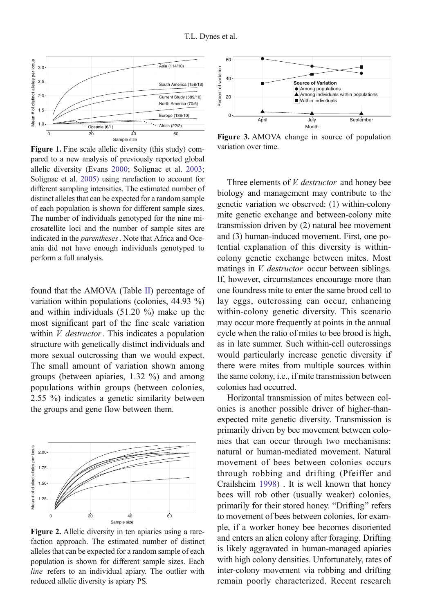<span id="page-5-0"></span>

Figure 1. Fine scale allelic diversity (this study) compared to a new analysis of previously reported global allelic diversity (Evans [2000;](#page-7-0) Solignac et al. [2003](#page-8-0); Solignac et al. [2005\)](#page-8-0) using rarefaction to account for different sampling intensities. The estimated number of distinct alleles that can be expected for a random sample of each population is shown for different sample sizes. The number of individuals genotyped for the nine microsatellite loci and the number of sample sites are indicated in the *parentheses* . Note that Africa and Oceania did not have enough individuals genotyped to perform a full analysis.

found that the AMOVA (Table [II\)](#page-4-0) percentage of variation within populations (colonies, 44.93 %) and within individuals (51.20 %) make up the most significant part of the fine scale variation within *V. destructor*. This indicates a population structure with genetically distinct individuals and more sexual outcrossing than we would expect. The small amount of variation shown among groups (between apiaries, 1.32 %) and among populations within groups (between colonies, 2.55 %) indicates a genetic similarity between the groups and gene flow between them.



Figure 2. Allelic diversity in ten apiaries using a rarefaction approach. The estimated number of distinct alleles that can be expected for a random sample of each population is shown for different sample sizes. Each line refers to an individual apiary. The outlier with reduced allelic diversity is apiary PS.



Figure 3. AMOVA change in source of population variation over time.

Three elements of *V. destructor* and honey bee biology and management may contribute to the genetic variation we observed: (1) within-colony mite genetic exchange and between-colony mite transmission driven by (2) natural bee movement and (3) human-induced movement. First, one potential explanation of this diversity is withincolony genetic exchange between mites. Most matings in *V. destructor* occur between siblings. If, however, circumstances encourage more than one foundress mite to enter the same brood cell to lay eggs, outcrossing can occur, enhancing within-colony genetic diversity. This scenario may occur more frequently at points in the annual cycle when the ratio of mites to bee brood is high, as in late summer. Such within-cell outcrossings would particularly increase genetic diversity if there were mites from multiple sources within the same colony, i.e., if mite transmission between colonies had occurred.

Horizontal transmission of mites between colonies is another possible driver of higher-thanexpected mite genetic diversity. Transmission is primarily driven by bee movement between colonies that can occur through two mechanisms: natural or human-mediated movement. Natural movement of bees between colonies occurs through robbing and drifting (Pfeiffer and Crailsheim [1998\)](#page-8-0) . It is well known that honey bees will rob other (usually weaker) colonies, primarily for their stored honey. "Drifting" refers to movement of bees between colonies, for example, if a worker honey bee becomes disoriented and enters an alien colony after foraging. Drifting is likely aggravated in human-managed apiaries with high colony densities. Unfortunately, rates of inter-colony movement via robbing and drifting remain poorly characterized. Recent research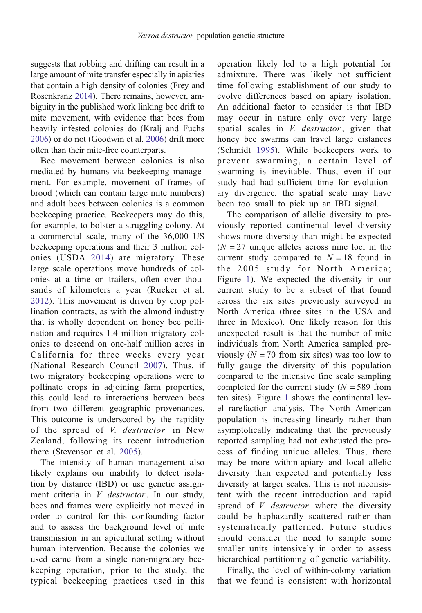suggests that robbing and drifting can result in a large amount of mite transfer especially in apiaries that contain a high density of colonies (Frey and Rosenkranz [2014\)](#page-8-0). There remains, however, ambiguity in the published work linking bee drift to mite movement, with evidence that bees from heavily infested colonies do (Kralj and Fuchs [2006\)](#page-8-0) or do not (Goodwin et al. [2006\)](#page-8-0) drift more often than their mite-free counterparts.

Bee movement between colonies is also mediated by humans via beekeeping management. For example, movement of frames of brood (which can contain large mite numbers) and adult bees between colonies is a common beekeeping practice. Beekeepers may do this, for example, to bolster a struggling colony. At a commercial scale, many of the 36,000 US beekeeping operations and their 3 million colonies (USDA [2014](#page-8-0)) are migratory. These large scale operations move hundreds of colonies at a time on trailers, often over thousands of kilometers a year (Rucker et al. [2012](#page-8-0)). This movement is driven by crop pollination contracts, as with the almond industry that is wholly dependent on honey bee pollination and requires 1.4 million migratory colonies to descend on one-half million acres in California for three weeks every year (National Research Council [2007](#page-8-0)). Thus, if two migratory beekeeping operations were to pollinate crops in adjoining farm properties, this could lead to interactions between bees from two different geographic provenances. This outcome is underscored by the rapidity of the spread of V. destructor in New Zealand, following its recent introduction there (Stevenson et al. [2005\)](#page-8-0).

The intensity of human management also likely explains our inability to detect isolation by distance (IBD) or use genetic assignment criteria in *V. destructor*. In our study, bees and frames were explicitly not moved in order to control for this confounding factor and to assess the background level of mite transmission in an apicultural setting without human intervention. Because the colonies we used came from a single non-migratory beekeeping operation, prior to the study, the typical beekeeping practices used in this operation likely led to a high potential for admixture. There was likely not sufficient time following establishment of our study to evolve differences based on apiary isolation. An additional factor to consider is that IBD may occur in nature only over very large spatial scales in *V. destructor*, given that honey bee swarms can travel large distances (Schmidt [1995\)](#page-8-0). While beekeepers work to prevent swarming, a certain level of swarming is inevitable. Thus, even if our study had had sufficient time for evolutionary divergence, the spatial scale may have been too small to pick up an IBD signal.

The comparison of allelic diversity to previously reported continental level diversity shows more diversity than might be expected  $(N = 27)$  unique alleles across nine loci in the current study compared to  $N = 18$  found in the 2005 study for North America; Figure [1\)](#page-5-0). We expected the diversity in our current study to be a subset of that found across the six sites previously surveyed in North America (three sites in the USA and three in Mexico). One likely reason for this unexpected result is that the number of mite individuals from North America sampled previously  $(N = 70$  from six sites) was too low to fully gauge the diversity of this population compared to the intensive fine scale sampling completed for the current study  $(N = 589$  from ten sites). Figure [1](#page-5-0) shows the continental level rarefaction analysis. The North American population is increasing linearly rather than asymptotically indicating that the previously reported sampling had not exhausted the process of finding unique alleles. Thus, there may be more within-apiary and local allelic diversity than expected and potentially less diversity at larger scales. This is not inconsistent with the recent introduction and rapid spread of *V. destructor* where the diversity could be haphazardly scattered rather than systematically patterned. Future studies should consider the need to sample some smaller units intensively in order to assess hierarchical partitioning of genetic variability.

Finally, the level of within-colony variation that we found is consistent with horizontal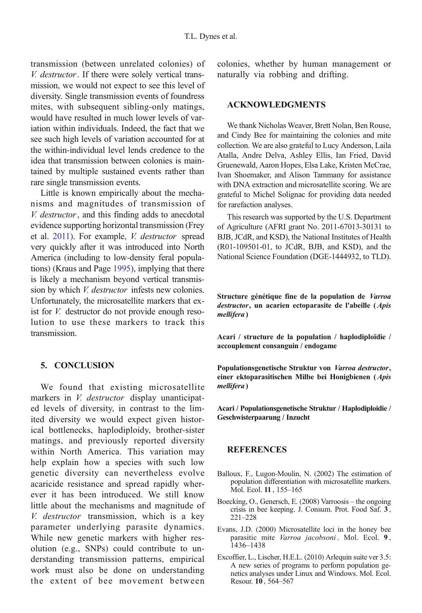<span id="page-7-0"></span>transmission (between unrelated colonies) of V. destructor. If there were solely vertical transmission, we would not expect to see this level of diversity. Single transmission events of foundress mites, with subsequent sibling-only matings, would have resulted in much lower levels of variation within individuals. Indeed, the fact that we see such high levels of variation accounted for at the within-individual level lends credence to the idea that transmission between colonies is maintained by multiple sustained events rather than rare single transmission events.

Little is known empirically about the mechanisms and magnitudes of transmission of V. destructor, and this finding adds to anecdotal evidence supporting horizontal transmission (Frey et al. [2011\)](#page-8-0). For example, *V. destructor* spread very quickly after it was introduced into North America (including to low-density feral populations) (Kraus and Page [1995\)](#page-8-0), implying that there is likely a mechanism beyond vertical transmission by which *V. destructor* infests new colonies. Unfortunately, the microsatellite markers that exist for V. destructor do not provide enough resolution to use these markers to track this transmission.

## 5. CONCLUSION

We found that existing microsatellite markers in *V. destructor* display unanticipated levels of diversity, in contrast to the limited diversity we would expect given historical bottlenecks, haplodiploidy, brother-sister matings, and previously reported diversity within North America. This variation may help explain how a species with such low genetic diversity can nevertheless evolve acaricide resistance and spread rapidly wherever it has been introduced. We still know little about the mechanisms and magnitude of V. destructor transmission, which is a key parameter underlying parasite dynamics. While new genetic markers with higher resolution (e.g., SNPs) could contribute to understanding transmission patterns, empirical work must also be done on understanding the extent of bee movement between

colonies, whether by human management or naturally via robbing and drifting.

### ACKNOWLEDGMENTS

We thank Nicholas Weaver, Brett Nolan, Ben Rouse, and Cindy Bee for maintaining the colonies and mite collection. We are also grateful to Lucy Anderson, Laila Atalla, Andre Delva, Ashley Ellis, Ian Fried, David Gruenewald, Aaron Hopes, Elsa Lake, Kristen McCrae, Ivan Shoemaker, and Alison Tammany for assistance with DNA extraction and microsatellite scoring. We are grateful to Michel Solignac for providing data needed for rarefaction analyses.

This research was supported by the U.S. Department of Agriculture (AFRI grant No. 2011-67013-30131 to BJB, JCdR, and KSD), the National Institutes of Health (R01-109501-01, to JCdR, BJB, and KSD), and the National Science Foundation (DGE-1444932, to TLD).

Structure génétique fine de la population de Varroa destructor, un acarien ectoparasite de l'abeille (Apis mellifera )

Acari / structure de la population / haplodiploïdie / accouplement consanguin / endogame

Populationsgenetische Struktur von Varroa destructor, einer ektoparasitischen Milbe bei Honigbienen (Apis mellifera )

Acari / Populationsgenetische Struktur / Haplodiploidie / Geschwisterpaarung / Inzucht

#### REFERENCES

- Balloux, F., Lugon-Moulin, N. (2002) The estimation of population differentiation with microsatellite markers. Mol. Ecol. 11 , 155–165
- Boecking, O., Genersch, E. (2008) Varroosis the ongoing crisis in bee keeping. J. Consum. Prot. Food Saf. 3 , 221–228
- Evans, J.D. (2000) Microsatellite loci in the honey bee parasitic mite Varroa jacobsoni. Mol. Ecol. 9, 1436–1438
- Excoffier, L., Lischer, H.E.L. (2010) Arlequin suite ver 3.5: A new series of programs to perform population genetics analyses under Linux and Windows. Mol. Ecol. Resour. 10 , 564–567